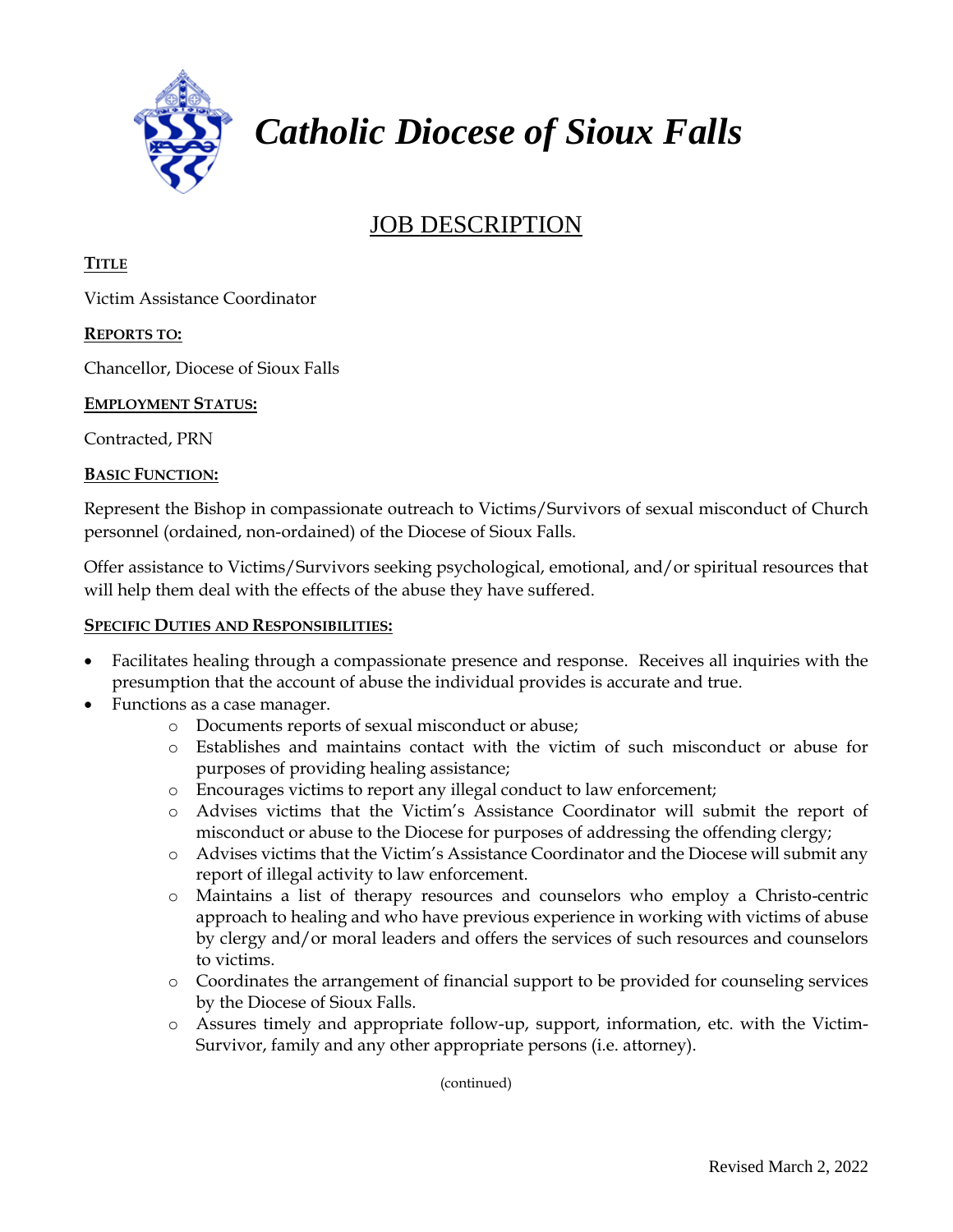

# *Catholic Diocese of Sioux Falls*

## JOB DESCRIPTION

#### **TITLE**

Victim Assistance Coordinator

#### **REPORTS TO:**

Chancellor, Diocese of Sioux Falls

#### **EMPLOYMENT STATUS:**

Contracted, PRN

#### **BASIC FUNCTION:**

Represent the Bishop in compassionate outreach to Victims/Survivors of sexual misconduct of Church personnel (ordained, non-ordained) of the Diocese of Sioux Falls.

Offer assistance to Victims/Survivors seeking psychological, emotional, and/or spiritual resources that will help them deal with the effects of the abuse they have suffered.

#### **SPECIFIC DUTIES AND RESPONSIBILITIES:**

- Facilitates healing through a compassionate presence and response. Receives all inquiries with the presumption that the account of abuse the individual provides is accurate and true.
- Functions as a case manager.
	- o Documents reports of sexual misconduct or abuse;
	- o Establishes and maintains contact with the victim of such misconduct or abuse for purposes of providing healing assistance;
	- o Encourages victims to report any illegal conduct to law enforcement;
	- o Advises victims that the Victim's Assistance Coordinator will submit the report of misconduct or abuse to the Diocese for purposes of addressing the offending clergy;
	- o Advises victims that the Victim's Assistance Coordinator and the Diocese will submit any report of illegal activity to law enforcement.
	- o Maintains a list of therapy resources and counselors who employ a Christo-centric approach to healing and who have previous experience in working with victims of abuse by clergy and/or moral leaders and offers the services of such resources and counselors to victims.
	- o Coordinates the arrangement of financial support to be provided for counseling services by the Diocese of Sioux Falls.
	- o Assures timely and appropriate follow-up, support, information, etc. with the Victim-Survivor, family and any other appropriate persons (i.e. attorney).

(continued)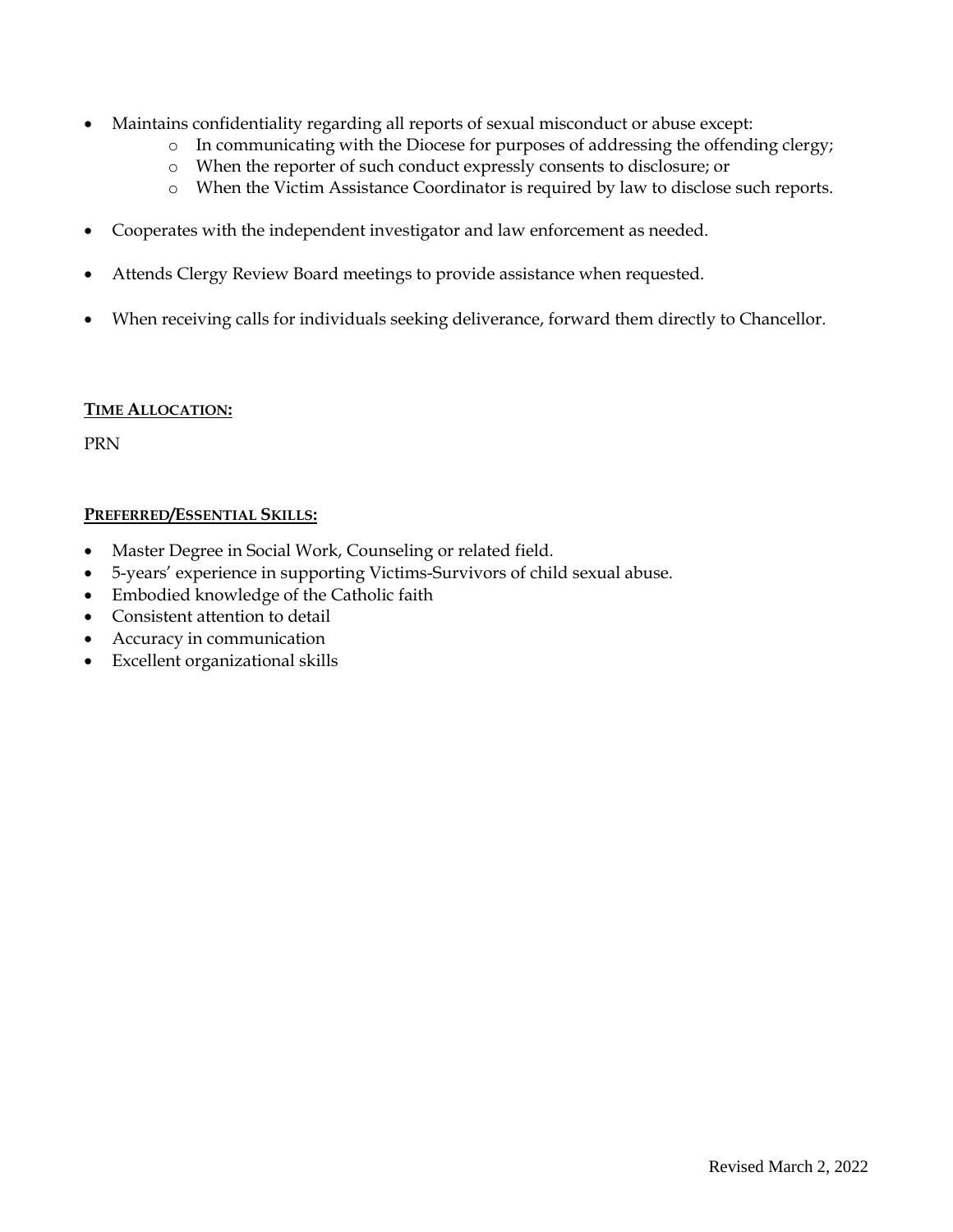- Maintains confidentiality regarding all reports of sexual misconduct or abuse except:
	- o In communicating with the Diocese for purposes of addressing the offending clergy;
	- o When the reporter of such conduct expressly consents to disclosure; or
	- o When the Victim Assistance Coordinator is required by law to disclose such reports.
- Cooperates with the independent investigator and law enforcement as needed.
- Attends Clergy Review Board meetings to provide assistance when requested.
- When receiving calls for individuals seeking deliverance, forward them directly to Chancellor.

#### **TIME ALLOCATION:**

PRN

#### **PREFERRED/ESSENTIAL SKILLS:**

- Master Degree in Social Work, Counseling or related field.
- 5-years' experience in supporting Victims-Survivors of child sexual abuse.
- Embodied knowledge of the Catholic faith
- Consistent attention to detail
- Accuracy in communication
- Excellent organizational skills